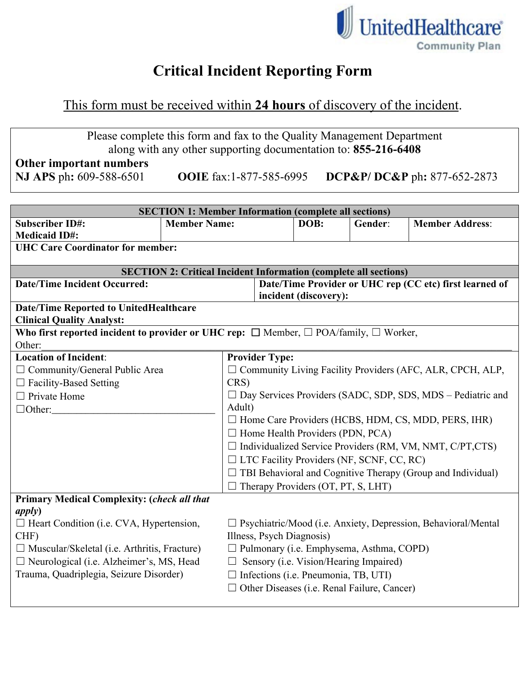

## **Critical Incident Reporting Form**

## This form must be received within **24 hours** of discovery of the incident.

| Please complete this form and fax to the Quality Management Department |  |
|------------------------------------------------------------------------|--|
| along with any other supporting documentation to: 855-216-6408         |  |

## Other important numbers<br>NJ APS ph: 609-588-6501

**NJ APS** ph**:** 609-588-6501 **OOIE** fax:1-877-585-6995 **DCP&P/ DC&P** ph**:** 877-652-2873

| <b>SECTION 1: Member Information (complete all sections)</b>                                         |                     |                                                                    |                           |                                                                                  |                                                    |                                                                      |  |
|------------------------------------------------------------------------------------------------------|---------------------|--------------------------------------------------------------------|---------------------------|----------------------------------------------------------------------------------|----------------------------------------------------|----------------------------------------------------------------------|--|
| <b>Subscriber ID#:</b>                                                                               | <b>Member Name:</b> |                                                                    | DOB:                      | Gender:                                                                          | <b>Member Address:</b>                             |                                                                      |  |
| <b>Medicaid ID#:</b>                                                                                 |                     |                                                                    |                           |                                                                                  |                                                    |                                                                      |  |
| <b>UHC Care Coordinator for member:</b>                                                              |                     |                                                                    |                           |                                                                                  |                                                    |                                                                      |  |
|                                                                                                      |                     |                                                                    |                           |                                                                                  |                                                    |                                                                      |  |
| <b>SECTION 2: Critical Incident Information (complete all sections)</b>                              |                     |                                                                    |                           |                                                                                  |                                                    |                                                                      |  |
| <b>Date/Time Incident Occurred:</b>                                                                  |                     |                                                                    |                           | Date/Time Provider or UHC rep (CC etc) first learned of<br>incident (discovery): |                                                    |                                                                      |  |
| <b>Date/Time Reported to UnitedHealthcare</b>                                                        |                     |                                                                    |                           |                                                                                  |                                                    |                                                                      |  |
| <b>Clinical Quality Analyst:</b>                                                                     |                     |                                                                    |                           |                                                                                  |                                                    |                                                                      |  |
| Who first reported incident to provider or UHC rep: $\Box$ Member, $\Box$ POA/family, $\Box$ Worker, |                     |                                                                    |                           |                                                                                  |                                                    |                                                                      |  |
| Other:                                                                                               |                     |                                                                    |                           |                                                                                  |                                                    |                                                                      |  |
| <b>Location of Incident:</b>                                                                         |                     |                                                                    | <b>Provider Type:</b>     |                                                                                  |                                                    |                                                                      |  |
| $\Box$ Community/General Public Area                                                                 |                     | $\Box$ Community Living Facility Providers (AFC, ALR, CPCH, ALP,   |                           |                                                                                  |                                                    |                                                                      |  |
| $\Box$ Facility-Based Setting                                                                        |                     | CRS)                                                               |                           |                                                                                  |                                                    |                                                                      |  |
| $\Box$ Private Home                                                                                  |                     | $\Box$ Day Services Providers (SADC, SDP, SDS, MDS – Pediatric and |                           |                                                                                  |                                                    |                                                                      |  |
| $\Box$ Other:                                                                                        | Adult)              |                                                                    |                           |                                                                                  |                                                    |                                                                      |  |
|                                                                                                      |                     | $\Box$ Home Care Providers (HCBS, HDM, CS, MDD, PERS, IHR)         |                           |                                                                                  |                                                    |                                                                      |  |
|                                                                                                      |                     | $\Box$ Home Health Providers (PDN, PCA)                            |                           |                                                                                  |                                                    |                                                                      |  |
|                                                                                                      |                     | $\Box$ Individualized Service Providers (RM, VM, NMT, C/PT,CTS)    |                           |                                                                                  |                                                    |                                                                      |  |
|                                                                                                      |                     | $\Box$ LTC Facility Providers (NF, SCNF, CC, RC)                   |                           |                                                                                  |                                                    |                                                                      |  |
|                                                                                                      |                     |                                                                    |                           | $\Box$ TBI Behavioral and Cognitive Therapy (Group and Individual)               |                                                    |                                                                      |  |
|                                                                                                      |                     |                                                                    |                           | $\Box$ Therapy Providers (OT, PT, S, LHT)                                        |                                                    |                                                                      |  |
| <b>Primary Medical Complexity: (check all that</b>                                                   |                     |                                                                    |                           |                                                                                  |                                                    |                                                                      |  |
| apply)                                                                                               |                     |                                                                    |                           |                                                                                  |                                                    |                                                                      |  |
| $\Box$ Heart Condition (i.e. CVA, Hypertension,                                                      |                     |                                                                    |                           |                                                                                  |                                                    | $\Box$ Psychiatric/Mood (i.e. Anxiety, Depression, Behavioral/Mental |  |
| CHF)                                                                                                 |                     |                                                                    | Illness, Psych Diagnosis) |                                                                                  |                                                    |                                                                      |  |
| $\Box$ Muscular/Skeletal (i.e. Arthritis, Fracture)                                                  |                     |                                                                    |                           |                                                                                  | □ Pulmonary (i.e. Emphysema, Asthma, COPD)         |                                                                      |  |
| □ Neurological (i.e. Alzheimer's, MS, Head                                                           |                     |                                                                    |                           | $\Box$ Sensory (i.e. Vision/Hearing Impaired)                                    |                                                    |                                                                      |  |
| Trauma, Quadriplegia, Seizure Disorder)                                                              |                     |                                                                    |                           | $\Box$ Infections (i.e. Pneumonia, TB, UTI)                                      |                                                    |                                                                      |  |
|                                                                                                      |                     |                                                                    |                           |                                                                                  | $\Box$ Other Diseases (i.e. Renal Failure, Cancer) |                                                                      |  |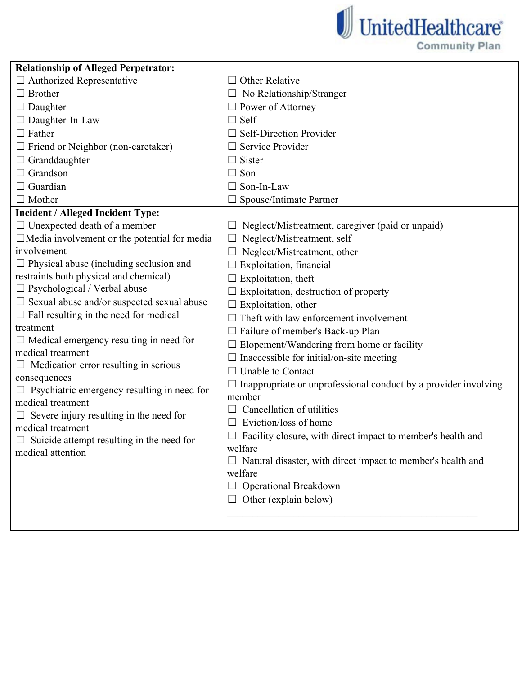

| <b>Relationship of Alleged Perpetrator:</b>                      |                                                                        |
|------------------------------------------------------------------|------------------------------------------------------------------------|
| $\Box$ Authorized Representative                                 | <b>Other Relative</b>                                                  |
| $\Box$ Brother                                                   | No Relationship/Stranger                                               |
| $\Box$ Daughter                                                  | $\Box$ Power of Attorney                                               |
| $\Box$ Daughter-In-Law                                           | $\Box$ Self                                                            |
| $\Box$ Father                                                    | $\Box$ Self-Direction Provider                                         |
| $\Box$ Friend or Neighbor (non-caretaker)                        | Service Provider                                                       |
| $\Box$ Granddaughter                                             | Sister                                                                 |
| $\Box$ Grandson                                                  | Son<br>$\perp$                                                         |
| $\Box$ Guardian                                                  | $\Box$ Son-In-Law                                                      |
| $\Box$ Mother                                                    | Spouse/Intimate Partner                                                |
| <b>Incident / Alleged Incident Type:</b>                         |                                                                        |
| $\Box$ Unexpected death of a member                              | Neglect/Mistreatment, caregiver (paid or unpaid)                       |
| $\Box$ Media involvement or the potential for media              | Neglect/Mistreatment, self                                             |
| involvement                                                      | Neglect/Mistreatment, other                                            |
| $\Box$ Physical abuse (including seclusion and                   | Exploitation, financial                                                |
| restraints both physical and chemical)                           | Exploitation, theft                                                    |
| $\Box$ Psychological / Verbal abuse                              | Exploitation, destruction of property                                  |
| $\Box$ Sexual abuse and/or suspected sexual abuse                | Exploitation, other                                                    |
| $\Box$ Fall resulting in the need for medical                    | Theft with law enforcement involvement                                 |
| treatment                                                        | $\Box$ Failure of member's Back-up Plan                                |
| $\Box$ Medical emergency resulting in need for                   | $\Box$ Elopement/Wandering from home or facility                       |
| medical treatment                                                | $\Box$ Inaccessible for initial/on-site meeting                        |
| $\Box$ Medication error resulting in serious                     | $\Box$ Unable to Contact                                               |
| consequences                                                     | $\Box$ Inappropriate or unprofessional conduct by a provider involving |
| Psychiatric emergency resulting in need for<br>medical treatment | member                                                                 |
| Severe injury resulting in the need for                          | Cancellation of utilities                                              |
| medical treatment                                                | Eviction/loss of home                                                  |
| Suicide attempt resulting in the need for                        | Facility closure, with direct impact to member's health and            |
| medical attention                                                | welfare                                                                |
|                                                                  | Natural disaster, with direct impact to member's health and            |
|                                                                  | welfare                                                                |
|                                                                  | $\Box$ Operational Breakdown                                           |
|                                                                  | $\Box$ Other (explain below)                                           |
|                                                                  |                                                                        |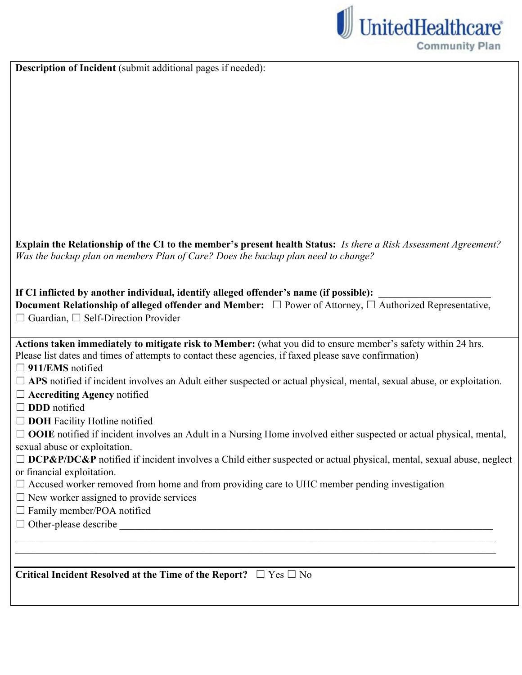

**Description of Incident** (submit additional pages if needed):

**Explain the Relationship of the CI to the member's present health Status:** *Is there a Risk Assessment Agreement? Was the backup plan on members Plan of Care? Does the backup plan need to change?*

If CI inflicted by another individual, identify alleged offender's name (if possible): **Document Relationship of alleged offender and Member:** □ Power of Attorney, □ Authorized Representative, ☐ Guardian, ☐ Self-Direction Provider

Actions taken immediately to mitigate risk to Member: (what you did to ensure member's safety within 24 hrs. Please list dates and times of attempts to contact these agencies, if faxed please save confirmation) □ 911/EMS notified

- □ APS notified if incident involves an Adult either suspected or actual physical, mental, sexual abuse, or exploitation.
- ☐ **Accrediting Agency** notified
- □ **DDD** notified
- □ **DOH** Facility Hotline notified

□ **OOIE** notified if incident involves an Adult in a Nursing Home involved either suspected or actual physical, mental, sexual abuse or exploitation.

□ **DCP&P/DC&P** notified if incident involves a Child either suspected or actual physical, mental, sexual abuse, neglect or financial exploitation.

 $\mathcal{L}_\mathcal{L} = \{ \mathcal{L}_\mathcal{L} = \{ \mathcal{L}_\mathcal{L} = \{ \mathcal{L}_\mathcal{L} = \{ \mathcal{L}_\mathcal{L} = \{ \mathcal{L}_\mathcal{L} = \{ \mathcal{L}_\mathcal{L} = \{ \mathcal{L}_\mathcal{L} = \{ \mathcal{L}_\mathcal{L} = \{ \mathcal{L}_\mathcal{L} = \{ \mathcal{L}_\mathcal{L} = \{ \mathcal{L}_\mathcal{L} = \{ \mathcal{L}_\mathcal{L} = \{ \mathcal{L}_\mathcal{L} = \{ \mathcal{L}_\mathcal{$  $\mathcal{L}_\mathcal{L} = \{ \mathcal{L}_\mathcal{L} = \{ \mathcal{L}_\mathcal{L} = \{ \mathcal{L}_\mathcal{L} = \{ \mathcal{L}_\mathcal{L} = \{ \mathcal{L}_\mathcal{L} = \{ \mathcal{L}_\mathcal{L} = \{ \mathcal{L}_\mathcal{L} = \{ \mathcal{L}_\mathcal{L} = \{ \mathcal{L}_\mathcal{L} = \{ \mathcal{L}_\mathcal{L} = \{ \mathcal{L}_\mathcal{L} = \{ \mathcal{L}_\mathcal{L} = \{ \mathcal{L}_\mathcal{L} = \{ \mathcal{L}_\mathcal{$ 

- $\Box$  Accused worker removed from home and from providing care to UHC member pending investigation
- $\Box$  New worker assigned to provide services
- $\Box$  Family member/POA notified
- $\Box$  Other-please describe

**Critical Incident Resolved at the Time of the Report?** ☐ Yes ☐ No